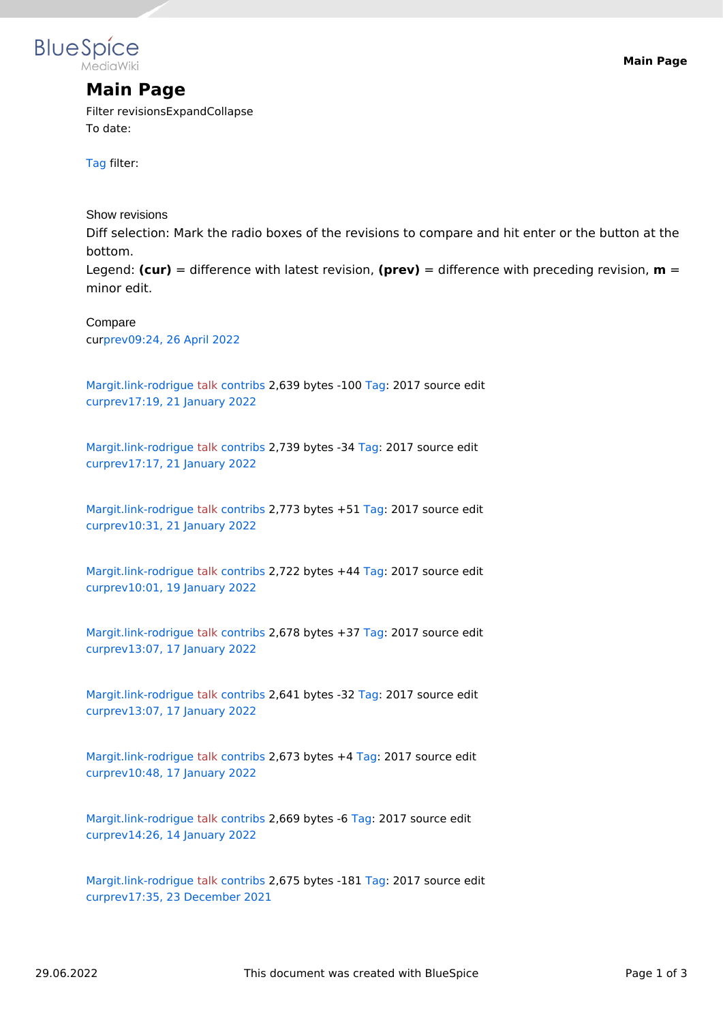

## **Main Page**

Filter revisionsExpandCollapse To date:

[Tag](https://en.wiki.bluespice.com/wiki/Special:Tags) filter:

Show revisions

Diff selection: Mark the radio boxes of the revisions to compare and hit enter or the button at the bottom.

Legend: **(cur)** = difference with latest revision, **(prev)** = difference with preceding revision, **m** = minor edit.

cu[rprev](https://en.wiki.bluespice.com/w/index.php?title=Main_Page&diff=3331&oldid=2183)[09:24, 26 April 2022](https://en.wiki.bluespice.com/w/index.php?title=Main_Page&oldid=3331) Compare

[Margit.link-rodrigue](https://en.wiki.bluespice.com/wiki/User:Margit.link-rodrigue) [talk](https://en.wiki.bluespice.com/w/index.php?title=User_talk:Margit.link-rodrigue&action=view) [contribs](https://en.wiki.bluespice.com/wiki/Special:Contributions/Margit.link-rodrigue) 2,639 bytes -100 [Tag:](https://en.wiki.bluespice.com/wiki/Special:Tags) 2017 source edit [cur](https://en.wiki.bluespice.com/w/index.php?title=Main_Page&diff=3331&oldid=2183)[prev](https://en.wiki.bluespice.com/w/index.php?title=Main_Page&diff=2183&oldid=2182)[17:19, 21 January 2022](https://en.wiki.bluespice.com/w/index.php?title=Main_Page&oldid=2183)

[Margit.link-rodrigue](https://en.wiki.bluespice.com/wiki/User:Margit.link-rodrigue) [talk](https://en.wiki.bluespice.com/w/index.php?title=User_talk:Margit.link-rodrigue&action=view) [contribs](https://en.wiki.bluespice.com/wiki/Special:Contributions/Margit.link-rodrigue) 2,739 bytes -34 [Tag:](https://en.wiki.bluespice.com/wiki/Special:Tags) 2017 source edit [cur](https://en.wiki.bluespice.com/w/index.php?title=Main_Page&diff=3331&oldid=2182)[prev](https://en.wiki.bluespice.com/w/index.php?title=Main_Page&diff=2182&oldid=2119)[17:17, 21 January 2022](https://en.wiki.bluespice.com/w/index.php?title=Main_Page&oldid=2182)

[Margit.link-rodrigue](https://en.wiki.bluespice.com/wiki/User:Margit.link-rodrigue) [talk](https://en.wiki.bluespice.com/w/index.php?title=User_talk:Margit.link-rodrigue&action=view) [contribs](https://en.wiki.bluespice.com/wiki/Special:Contributions/Margit.link-rodrigue) 2,773 bytes +51 [Tag](https://en.wiki.bluespice.com/wiki/Special:Tags): 2017 source edit [cur](https://en.wiki.bluespice.com/w/index.php?title=Main_Page&diff=3331&oldid=2119)[prev](https://en.wiki.bluespice.com/w/index.php?title=Main_Page&diff=2119&oldid=2099)[10:31, 21 January 2022](https://en.wiki.bluespice.com/w/index.php?title=Main_Page&oldid=2119)

[Margit.link-rodrigue](https://en.wiki.bluespice.com/wiki/User:Margit.link-rodrigue) [talk](https://en.wiki.bluespice.com/w/index.php?title=User_talk:Margit.link-rodrigue&action=view) [contribs](https://en.wiki.bluespice.com/wiki/Special:Contributions/Margit.link-rodrigue) 2,722 bytes +44 [Tag](https://en.wiki.bluespice.com/wiki/Special:Tags): 2017 source edit [cur](https://en.wiki.bluespice.com/w/index.php?title=Main_Page&diff=3331&oldid=2099)[prev](https://en.wiki.bluespice.com/w/index.php?title=Main_Page&diff=2099&oldid=2048)[10:01, 19 January 2022](https://en.wiki.bluespice.com/w/index.php?title=Main_Page&oldid=2099)

[Margit.link-rodrigue](https://en.wiki.bluespice.com/wiki/User:Margit.link-rodrigue) [talk](https://en.wiki.bluespice.com/w/index.php?title=User_talk:Margit.link-rodrigue&action=view) [contribs](https://en.wiki.bluespice.com/wiki/Special:Contributions/Margit.link-rodrigue) 2,678 bytes +37 [Tag](https://en.wiki.bluespice.com/wiki/Special:Tags): 2017 source edit [cur](https://en.wiki.bluespice.com/w/index.php?title=Main_Page&diff=3331&oldid=2048)[prev](https://en.wiki.bluespice.com/w/index.php?title=Main_Page&diff=2048&oldid=2047)[13:07, 17 January 2022](https://en.wiki.bluespice.com/w/index.php?title=Main_Page&oldid=2048)

[Margit.link-rodrigue](https://en.wiki.bluespice.com/wiki/User:Margit.link-rodrigue) [talk](https://en.wiki.bluespice.com/w/index.php?title=User_talk:Margit.link-rodrigue&action=view) [contribs](https://en.wiki.bluespice.com/wiki/Special:Contributions/Margit.link-rodrigue) 2,641 bytes -32 [Tag:](https://en.wiki.bluespice.com/wiki/Special:Tags) 2017 source edit [cur](https://en.wiki.bluespice.com/w/index.php?title=Main_Page&diff=3331&oldid=2047)[prev](https://en.wiki.bluespice.com/w/index.php?title=Main_Page&diff=2047&oldid=2032)[13:07, 17 January 2022](https://en.wiki.bluespice.com/w/index.php?title=Main_Page&oldid=2047)

[Margit.link-rodrigue](https://en.wiki.bluespice.com/wiki/User:Margit.link-rodrigue) [talk](https://en.wiki.bluespice.com/w/index.php?title=User_talk:Margit.link-rodrigue&action=view) [contribs](https://en.wiki.bluespice.com/wiki/Special:Contributions/Margit.link-rodrigue) 2,673 bytes +4 [Tag:](https://en.wiki.bluespice.com/wiki/Special:Tags) 2017 source edit [cur](https://en.wiki.bluespice.com/w/index.php?title=Main_Page&diff=3331&oldid=2032)[prev](https://en.wiki.bluespice.com/w/index.php?title=Main_Page&diff=2032&oldid=1962)[10:48, 17 January 2022](https://en.wiki.bluespice.com/w/index.php?title=Main_Page&oldid=2032)

[Margit.link-rodrigue](https://en.wiki.bluespice.com/wiki/User:Margit.link-rodrigue) [talk](https://en.wiki.bluespice.com/w/index.php?title=User_talk:Margit.link-rodrigue&action=view) [contribs](https://en.wiki.bluespice.com/wiki/Special:Contributions/Margit.link-rodrigue) 2,669 bytes -6 [Tag](https://en.wiki.bluespice.com/wiki/Special:Tags): 2017 source edit [cur](https://en.wiki.bluespice.com/w/index.php?title=Main_Page&diff=3331&oldid=1962)[prev](https://en.wiki.bluespice.com/w/index.php?title=Main_Page&diff=1962&oldid=1823)[14:26, 14 January 2022](https://en.wiki.bluespice.com/w/index.php?title=Main_Page&oldid=1962)

[Margit.link-rodrigue](https://en.wiki.bluespice.com/wiki/User:Margit.link-rodrigue) [talk](https://en.wiki.bluespice.com/w/index.php?title=User_talk:Margit.link-rodrigue&action=view) [contribs](https://en.wiki.bluespice.com/wiki/Special:Contributions/Margit.link-rodrigue) 2,675 bytes -181 [Tag:](https://en.wiki.bluespice.com/wiki/Special:Tags) 2017 source edit [cur](https://en.wiki.bluespice.com/w/index.php?title=Main_Page&diff=3331&oldid=1823)[prev](https://en.wiki.bluespice.com/w/index.php?title=Main_Page&diff=1823&oldid=1811)[17:35, 23 December 2021](https://en.wiki.bluespice.com/w/index.php?title=Main_Page&oldid=1823)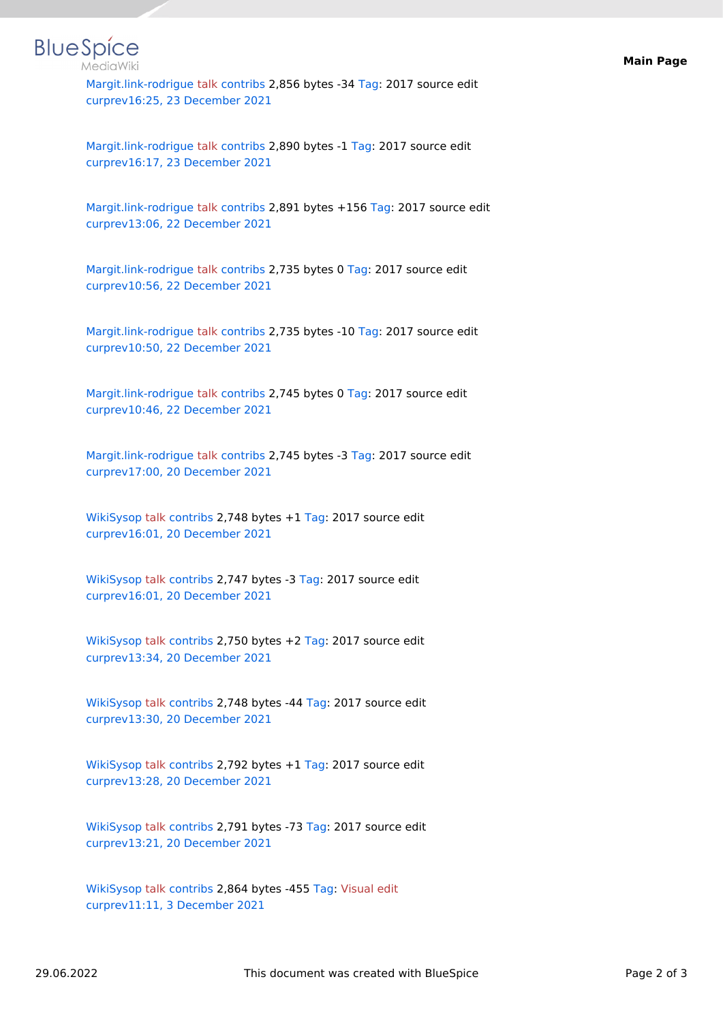

[Margit.link-rodrigue](https://en.wiki.bluespice.com/wiki/User:Margit.link-rodrigue) [talk](https://en.wiki.bluespice.com/w/index.php?title=User_talk:Margit.link-rodrigue&action=view) [contribs](https://en.wiki.bluespice.com/wiki/Special:Contributions/Margit.link-rodrigue) 2,856 bytes -34 [Tag:](https://en.wiki.bluespice.com/wiki/Special:Tags) 2017 source edit [cur](https://en.wiki.bluespice.com/w/index.php?title=Main_Page&diff=3331&oldid=1811)[prev](https://en.wiki.bluespice.com/w/index.php?title=Main_Page&diff=1811&oldid=1807)[16:25, 23 December 2021](https://en.wiki.bluespice.com/w/index.php?title=Main_Page&oldid=1811)

[Margit.link-rodrigue](https://en.wiki.bluespice.com/wiki/User:Margit.link-rodrigue) [talk](https://en.wiki.bluespice.com/w/index.php?title=User_talk:Margit.link-rodrigue&action=view) [contribs](https://en.wiki.bluespice.com/wiki/Special:Contributions/Margit.link-rodrigue) 2,890 bytes -1 [Tag](https://en.wiki.bluespice.com/wiki/Special:Tags): 2017 source edit [cur](https://en.wiki.bluespice.com/w/index.php?title=Main_Page&diff=3331&oldid=1807)[prev](https://en.wiki.bluespice.com/w/index.php?title=Main_Page&diff=1807&oldid=1689)[16:17, 23 December 2021](https://en.wiki.bluespice.com/w/index.php?title=Main_Page&oldid=1807)

[Margit.link-rodrigue](https://en.wiki.bluespice.com/wiki/User:Margit.link-rodrigue) [talk](https://en.wiki.bluespice.com/w/index.php?title=User_talk:Margit.link-rodrigue&action=view) [contribs](https://en.wiki.bluespice.com/wiki/Special:Contributions/Margit.link-rodrigue) 2,891 bytes +156 [Tag:](https://en.wiki.bluespice.com/wiki/Special:Tags) 2017 source edit [cur](https://en.wiki.bluespice.com/w/index.php?title=Main_Page&diff=3331&oldid=1689)[prev](https://en.wiki.bluespice.com/w/index.php?title=Main_Page&diff=1689&oldid=1676)[13:06, 22 December 2021](https://en.wiki.bluespice.com/w/index.php?title=Main_Page&oldid=1689)

[Margit.link-rodrigue](https://en.wiki.bluespice.com/wiki/User:Margit.link-rodrigue) [talk](https://en.wiki.bluespice.com/w/index.php?title=User_talk:Margit.link-rodrigue&action=view) [contribs](https://en.wiki.bluespice.com/wiki/Special:Contributions/Margit.link-rodrigue) 2,735 bytes 0 [Tag](https://en.wiki.bluespice.com/wiki/Special:Tags): 2017 source edit [cur](https://en.wiki.bluespice.com/w/index.php?title=Main_Page&diff=3331&oldid=1676)[prev](https://en.wiki.bluespice.com/w/index.php?title=Main_Page&diff=1676&oldid=1675)[10:56, 22 December 2021](https://en.wiki.bluespice.com/w/index.php?title=Main_Page&oldid=1676)

[Margit.link-rodrigue](https://en.wiki.bluespice.com/wiki/User:Margit.link-rodrigue) [talk](https://en.wiki.bluespice.com/w/index.php?title=User_talk:Margit.link-rodrigue&action=view) [contribs](https://en.wiki.bluespice.com/wiki/Special:Contributions/Margit.link-rodrigue) 2,735 bytes -10 [Tag:](https://en.wiki.bluespice.com/wiki/Special:Tags) 2017 source edit [cur](https://en.wiki.bluespice.com/w/index.php?title=Main_Page&diff=3331&oldid=1675)[prev](https://en.wiki.bluespice.com/w/index.php?title=Main_Page&diff=1675&oldid=1674)[10:50, 22 December 2021](https://en.wiki.bluespice.com/w/index.php?title=Main_Page&oldid=1675)

[Margit.link-rodrigue](https://en.wiki.bluespice.com/wiki/User:Margit.link-rodrigue) [talk](https://en.wiki.bluespice.com/w/index.php?title=User_talk:Margit.link-rodrigue&action=view) [contribs](https://en.wiki.bluespice.com/wiki/Special:Contributions/Margit.link-rodrigue) 2,745 bytes 0 [Tag](https://en.wiki.bluespice.com/wiki/Special:Tags): 2017 source edit [cur](https://en.wiki.bluespice.com/w/index.php?title=Main_Page&diff=3331&oldid=1674)[prev](https://en.wiki.bluespice.com/w/index.php?title=Main_Page&diff=1674&oldid=1520)[10:46, 22 December 2021](https://en.wiki.bluespice.com/w/index.php?title=Main_Page&oldid=1674)

[Margit.link-rodrigue](https://en.wiki.bluespice.com/wiki/User:Margit.link-rodrigue) [talk](https://en.wiki.bluespice.com/w/index.php?title=User_talk:Margit.link-rodrigue&action=view) [contribs](https://en.wiki.bluespice.com/wiki/Special:Contributions/Margit.link-rodrigue) 2,745 bytes -3 [Tag](https://en.wiki.bluespice.com/wiki/Special:Tags): 2017 source edit [cur](https://en.wiki.bluespice.com/w/index.php?title=Main_Page&diff=3331&oldid=1520)[prev](https://en.wiki.bluespice.com/w/index.php?title=Main_Page&diff=1520&oldid=1500)[17:00, 20 December 2021](https://en.wiki.bluespice.com/w/index.php?title=Main_Page&oldid=1520)

[WikiSysop](https://en.wiki.bluespice.com/wiki/User:WikiSysop) [talk](https://en.wiki.bluespice.com/w/index.php?title=User_talk:WikiSysop&action=view) [contribs](https://en.wiki.bluespice.com/wiki/Special:Contributions/WikiSysop) 2,748 bytes +1 [Tag:](https://en.wiki.bluespice.com/wiki/Special:Tags) 2017 source edit [cur](https://en.wiki.bluespice.com/w/index.php?title=Main_Page&diff=3331&oldid=1500)[prev](https://en.wiki.bluespice.com/w/index.php?title=Main_Page&diff=1500&oldid=1498)[16:01, 20 December 2021](https://en.wiki.bluespice.com/w/index.php?title=Main_Page&oldid=1500)

[WikiSysop](https://en.wiki.bluespice.com/wiki/User:WikiSysop) [talk](https://en.wiki.bluespice.com/w/index.php?title=User_talk:WikiSysop&action=view) [contribs](https://en.wiki.bluespice.com/wiki/Special:Contributions/WikiSysop) 2,747 bytes -3 [Tag](https://en.wiki.bluespice.com/wiki/Special:Tags): 2017 source edit [cur](https://en.wiki.bluespice.com/w/index.php?title=Main_Page&diff=3331&oldid=1498)[prev](https://en.wiki.bluespice.com/w/index.php?title=Main_Page&diff=1498&oldid=1431)[16:01, 20 December 2021](https://en.wiki.bluespice.com/w/index.php?title=Main_Page&oldid=1498)

[WikiSysop](https://en.wiki.bluespice.com/wiki/User:WikiSysop) [talk](https://en.wiki.bluespice.com/w/index.php?title=User_talk:WikiSysop&action=view) [contribs](https://en.wiki.bluespice.com/wiki/Special:Contributions/WikiSysop) 2,750 bytes +2 [Tag:](https://en.wiki.bluespice.com/wiki/Special:Tags) 2017 source edit [cur](https://en.wiki.bluespice.com/w/index.php?title=Main_Page&diff=3331&oldid=1431)[prev](https://en.wiki.bluespice.com/w/index.php?title=Main_Page&diff=1431&oldid=1430)[13:34, 20 December 2021](https://en.wiki.bluespice.com/w/index.php?title=Main_Page&oldid=1431)

[WikiSysop](https://en.wiki.bluespice.com/wiki/User:WikiSysop) [talk](https://en.wiki.bluespice.com/w/index.php?title=User_talk:WikiSysop&action=view) [contribs](https://en.wiki.bluespice.com/wiki/Special:Contributions/WikiSysop) 2,748 bytes -44 [Tag](https://en.wiki.bluespice.com/wiki/Special:Tags): 2017 source edit [cur](https://en.wiki.bluespice.com/w/index.php?title=Main_Page&diff=3331&oldid=1430)[prev](https://en.wiki.bluespice.com/w/index.php?title=Main_Page&diff=1430&oldid=1429)[13:30, 20 December 2021](https://en.wiki.bluespice.com/w/index.php?title=Main_Page&oldid=1430)

[WikiSysop](https://en.wiki.bluespice.com/wiki/User:WikiSysop) [talk](https://en.wiki.bluespice.com/w/index.php?title=User_talk:WikiSysop&action=view) [contribs](https://en.wiki.bluespice.com/wiki/Special:Contributions/WikiSysop) 2,792 bytes +1 [Tag:](https://en.wiki.bluespice.com/wiki/Special:Tags) 2017 source edit [cur](https://en.wiki.bluespice.com/w/index.php?title=Main_Page&diff=3331&oldid=1429)[prev](https://en.wiki.bluespice.com/w/index.php?title=Main_Page&diff=1429&oldid=1428)[13:28, 20 December 2021](https://en.wiki.bluespice.com/w/index.php?title=Main_Page&oldid=1429)

[WikiSysop](https://en.wiki.bluespice.com/wiki/User:WikiSysop) [talk](https://en.wiki.bluespice.com/w/index.php?title=User_talk:WikiSysop&action=view) [contribs](https://en.wiki.bluespice.com/wiki/Special:Contributions/WikiSysop) 2,791 bytes -73 [Tag](https://en.wiki.bluespice.com/wiki/Special:Tags): 2017 source edit [cur](https://en.wiki.bluespice.com/w/index.php?title=Main_Page&diff=3331&oldid=1428)[prev](https://en.wiki.bluespice.com/w/index.php?title=Main_Page&diff=1428&oldid=58)[13:21, 20 December 2021](https://en.wiki.bluespice.com/w/index.php?title=Main_Page&oldid=1428)

[WikiSysop](https://en.wiki.bluespice.com/wiki/User:WikiSysop) [talk](https://en.wiki.bluespice.com/w/index.php?title=User_talk:WikiSysop&action=view) [contribs](https://en.wiki.bluespice.com/wiki/Special:Contributions/WikiSysop) 2,864 bytes -455 [Tag:](https://en.wiki.bluespice.com/wiki/Special:Tags) [Visual edit](https://en.wiki.bluespice.com/w/index.php?title=Site:VisualEditor&action=view) [cur](https://en.wiki.bluespice.com/w/index.php?title=Main_Page&diff=3331&oldid=58)[prev](https://en.wiki.bluespice.com/w/index.php?title=Main_Page&diff=58&oldid=1)[11:11, 3 December 2021](https://en.wiki.bluespice.com/w/index.php?title=Main_Page&oldid=58)